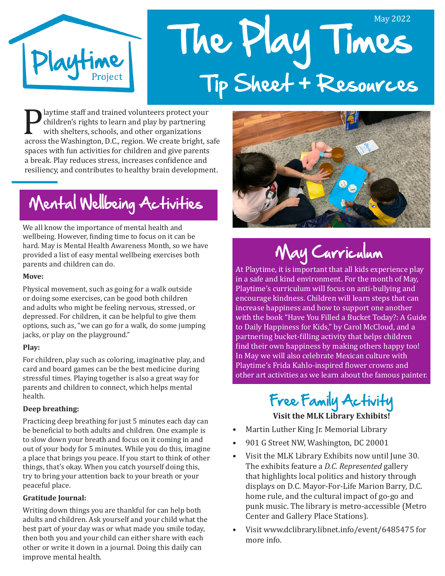

# The Play Times May 2022 Tip Sheet + Resources

**Playtime staff and trained volunteers protect your**<br>
children's rights to learn and play by partnering<br>
with shelters, schools, and other organizations<br>
across the Washington, D.C., region. We create bright, safe<br>
among w children's rights to learn and play by partnering with shelters, schools, and other organizations spaces with fun activities for children and give parents a break. Play reduces stress, increases confidence and resiliency, and contributes to healthy brain development.

## Mental Wellbeing Activities

We all know the importance of mental health and wellbeing. However, finding time to focus on it can be hard. May is Mental Health Awareness Month, so we have provided a list of easy mental wellbeing exercises both parents and children can do.

#### **Move:**

Physical movement, such as going for a walk outside or doing some exercises, can be good both children and adults who might be feeling nervous, stressed, or depressed. For children, it can be helpful to give them options, such as, "we can go for a walk, do some jumping jacks, or play on the playground."

#### **Play:**

For children, play such as coloring, imaginative play, and card and board games can be the best medicine during stressful times. Playing together is also a great way for parents and children to connect, which helps mental health.

#### **Deep breathing:**

Practicing deep breathing for just 5 minutes each day can be beneficial to both adults and children. One example is to slow down your breath and focus on it coming in and out of your body for 5 minutes. While you do this, imagine a place that brings you peace. If you start to think of other things, that's okay. When you catch yourself doing this, try to bring your attention back to your breath or your peaceful place.

#### **Gratitude Journal:**

Writing down things you are thankful for can help both adults and children. Ask yourself and your child what the best part of your day was or what made you smile today, then both you and your child can either share with each other or write it down in a journal. Doing this daily can improve mental health.



## May Curriculum

At Playtime, it is important that all kids experience play in a safe and kind environment. For the month of May, Playtime's curriculum will focus on anti-bullying and encourage kindness. Children will learn steps that can increase happiness and how to support one another with the book "Have You Filled a Bucket Today?: A Guide to Daily Happiness for Kids," by Carol McCloud, and a partnering bucket-filling activity that helps children find their own happiness by making others happy too! In May we will also celebrate Mexican culture with Playtime's Frida Kahlo-inspired flower crowns and other art activities as we learn about the famous painter.

### Free Family Activity **Visit the MLK Library Exhibits!**

- Martin Luther King Jr. Memorial Library
- 901 G Street NW, Washington, DC 20001
- Visit the MLK Library Exhibits now until June 30. The exhibits feature a *D.C. Represented* gallery that highlights local politics and history through displays on D.C. Mayor-For-Life Marion Barry, D.C. home rule, and the cultural impact of go-go and punk music. The library is metro-accessible (Metro Center and Gallery Place Stations).
- Visit www.dclibrary.libnet.info/event/6485475 for more info.